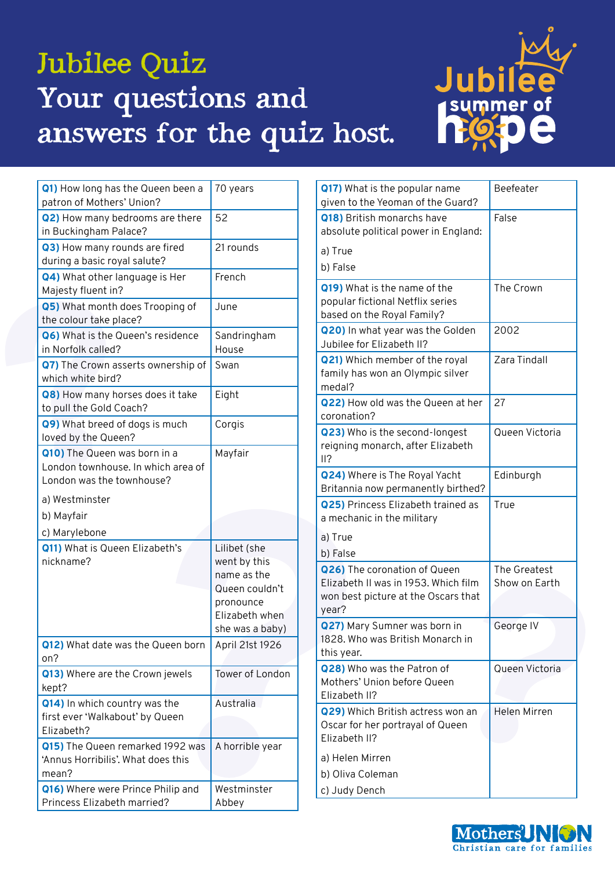## Jubilee Quiz Your questions and answers for the quiz host.



| Q1) How long has the Queen been a<br>patron of Mothers' Union?                                  | 70 years                                                                                                        |
|-------------------------------------------------------------------------------------------------|-----------------------------------------------------------------------------------------------------------------|
| Q2) How many bedrooms are there<br>in Buckingham Palace?                                        | 52                                                                                                              |
| Q3) How many rounds are fired<br>during a basic royal salute?                                   | 21 rounds                                                                                                       |
| Q4) What other language is Her<br>Majesty fluent in?                                            | French                                                                                                          |
| Q5) What month does Trooping of<br>the colour take place?                                       | June                                                                                                            |
| Q6) What is the Queen's residence<br>in Norfolk called?                                         | Sandringham<br>House                                                                                            |
| Q7) The Crown asserts ownership of<br>which white bird?                                         | Swan                                                                                                            |
| Q8) How many horses does it take<br>to pull the Gold Coach?                                     | Eight                                                                                                           |
| Q9) What breed of dogs is much<br>loved by the Queen?                                           | Corgis                                                                                                          |
| Q10) The Queen was born in a<br>London townhouse. In which area of<br>London was the townhouse? | Mayfair                                                                                                         |
|                                                                                                 |                                                                                                                 |
| a) Westminster                                                                                  |                                                                                                                 |
| b) Mayfair                                                                                      |                                                                                                                 |
| c) Marylebone                                                                                   |                                                                                                                 |
| Q11) What is Queen Elizabeth's<br>nickname?                                                     | Lilibet (she<br>went by this<br>name as the<br>Queen couldn't<br>pronounce<br>Elizabeth when<br>she was a baby) |
| Q12) What date was the Queen born<br>on?                                                        | April 21st 1926                                                                                                 |
| Q13) Where are the Crown jewels<br>kept?                                                        | Tower of London                                                                                                 |
| Q14) In which country was the<br>first ever 'Walkabout' by Queen<br>Elizabeth?                  | Australia                                                                                                       |
| Q15) The Queen remarked 1992 was<br>'Annus Horribilis'. What does this<br>mean?                 | A horrible year                                                                                                 |

| Q17) What is the popular name<br>given to the Yeoman of the Guard?                                                   | Beefeater                     |
|----------------------------------------------------------------------------------------------------------------------|-------------------------------|
| Q18) British monarchs have<br>absolute political power in England:                                                   | False                         |
| a) True<br>b) False                                                                                                  |                               |
| Q19) What is the name of the<br>popular fictional Netflix series<br>based on the Royal Family?                       | The Crown                     |
| Q20) In what year was the Golden<br>Jubilee for Elizabeth II?                                                        | 2002                          |
| <b>Q21)</b> Which member of the royal<br>family has won an Olympic silver<br>medal?                                  | Zara Tindall                  |
| Q22) How old was the Queen at her<br>coronation?                                                                     | 27                            |
| Q23) Who is the second-longest<br>reigning monarch, after Elizabeth<br>II?                                           | Queen Victoria                |
| Q24) Where is The Royal Yacht<br>Britannia now permanently birthed?                                                  | Edinburgh                     |
| Q25) Princess Elizabeth trained as<br>a mechanic in the military                                                     | True                          |
| a) True                                                                                                              |                               |
| b) False                                                                                                             |                               |
| Q26) The coronation of Queen<br>Elizabeth II was in 1953. Which film<br>won best picture at the Oscars that<br>year? | The Greatest<br>Show on Earth |
| Q27) Mary Sumner was born in<br>1828. Who was British Monarch in<br>this year.                                       | George IV                     |
| Q28) Who was the Patron of<br>Mothers' Union before Queen<br>Elizabeth II?                                           | Queen Victoria                |
| Q29) Which British actress won an<br>Oscar for her portrayal of Queen<br>Elizabeth II?                               | Helen Mirren                  |
| a) Helen Mirren                                                                                                      |                               |
| b) Oliva Coleman                                                                                                     |                               |
| c) Judy Dench                                                                                                        |                               |